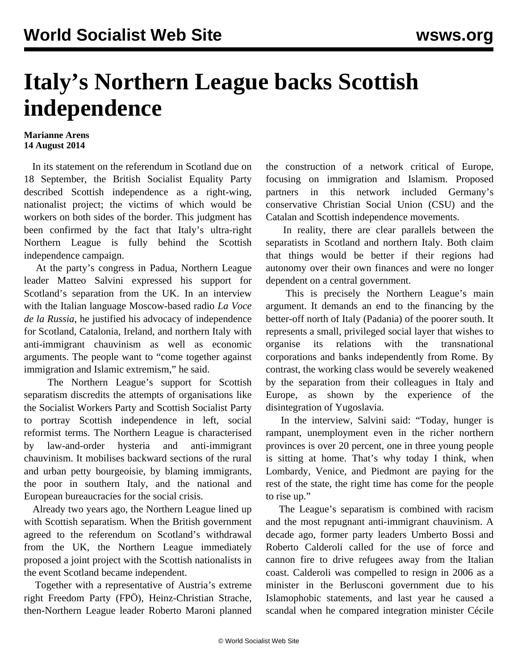## **Italy's Northern League backs Scottish independence**

## **Marianne Arens 14 August 2014**

 In its [statement](/en/articles/2014/06/21/scot-j21.html) on the referendum in Scotland due on 18 September, the British Socialist Equality Party described Scottish independence as a right-wing, nationalist project; the victims of which would be workers on both sides of the border. This judgment has been confirmed by the fact that Italy's ultra-right Northern League is fully behind the Scottish independence campaign.

 At the party's congress in Padua, Northern League leader Matteo Salvini expressed his support for Scotland's separation from the UK. In an interview with the Italian language Moscow-based radio *La Voce de la Russia*, he justified his advocacy of independence for Scotland, Catalonia, Ireland, and northern Italy with anti-immigrant chauvinism as well as economic arguments. The people want to "come together against immigration and Islamic extremism," he said.

 The Northern League's support for Scottish separatism discredits the attempts of organisations like the Socialist Workers Party and Scottish Socialist Party to portray Scottish independence in left, social reformist terms. The Northern League is characterised by law-and-order hysteria and anti-immigrant chauvinism. It mobilises backward sections of the rural and urban petty bourgeoisie, by blaming immigrants, the poor in southern Italy, and the national and European bureaucracies for the social crisis.

 Already two years ago, the Northern League lined up with Scottish separatism. When the British government agreed to the referendum on Scotland's withdrawal from the UK, the Northern League immediately proposed a joint project with the Scottish nationalists in the event Scotland became independent.

 Together with a representative of Austria's extreme right Freedom Party (FPÖ), Heinz-Christian Strache, then-Northern League leader Roberto Maroni planned the construction of a network critical of Europe, focusing on immigration and Islamism. Proposed partners in this network included Germany's conservative Christian Social Union (CSU) and the Catalan and Scottish independence movements.

 In reality, there are clear parallels between the separatists in Scotland and northern Italy. Both claim that things would be better if their regions had autonomy over their own finances and were no longer dependent on a central government.

 This is precisely the Northern League's main argument. It demands an end to the financing by the better-off north of Italy (Padania) of the poorer south. It represents a small, privileged social layer that wishes to organise its relations with the transnational corporations and banks independently from Rome. By contrast, the working class would be severely weakened by the separation from their colleagues in Italy and Europe, as shown by the experience of the disintegration of Yugoslavia.

 In the interview, Salvini said: "Today, hunger is rampant, unemployment even in the richer northern provinces is over 20 percent, one in three young people is sitting at home. That's why today I think, when Lombardy, Venice, and Piedmont are paying for the rest of the state, the right time has come for the people to rise up."

 The League's separatism is combined with racism and the most repugnant anti-immigrant chauvinism. A decade ago, former party leaders Umberto Bossi and Roberto Calderoli called for the use of force and cannon fire to drive refugees away from the Italian coast. Calderoli was compelled to resign in 2006 as a minister in the Berlusconi government due to his Islamophobic statements, and last year he caused a scandal when he compared integration minister Cécile